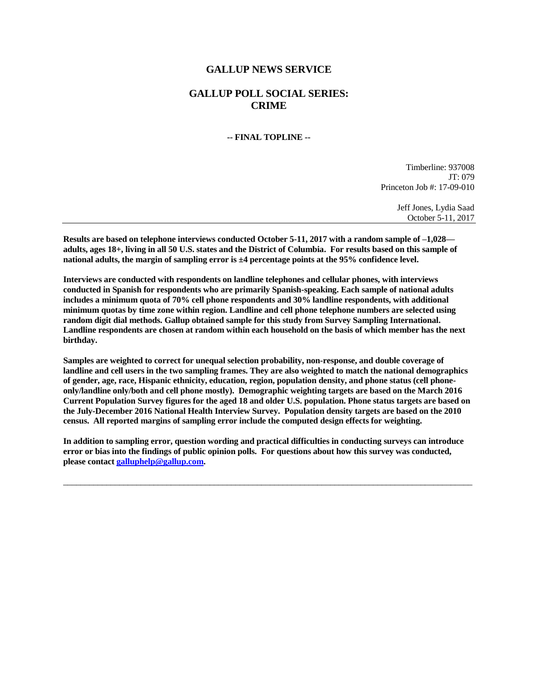## **GALLUP NEWS SERVICE**

## **GALLUP POLL SOCIAL SERIES: CRIME**

## **-- FINAL TOPLINE --**

Timberline: 937008 JT: 079 Princeton Job #: 17-09-010

> Jeff Jones, Lydia Saad October 5-11, 2017

**Results are based on telephone interviews conducted October 5-11, 2017 with a random sample of –1,028 adults, ages 18+, living in all 50 U.S. states and the District of Columbia. For results based on this sample of national adults, the margin of sampling error is ±4 percentage points at the 95% confidence level.** 

**Interviews are conducted with respondents on landline telephones and cellular phones, with interviews conducted in Spanish for respondents who are primarily Spanish-speaking. Each sample of national adults includes a minimum quota of 70% cell phone respondents and 30% landline respondents, with additional minimum quotas by time zone within region. Landline and cell phone telephone numbers are selected using random digit dial methods. Gallup obtained sample for this study from Survey Sampling International. Landline respondents are chosen at random within each household on the basis of which member has the next birthday.**

**Samples are weighted to correct for unequal selection probability, non-response, and double coverage of landline and cell users in the two sampling frames. They are also weighted to match the national demographics of gender, age, race, Hispanic ethnicity, education, region, population density, and phone status (cell phoneonly/landline only/both and cell phone mostly). Demographic weighting targets are based on the March 2016 Current Population Survey figures for the aged 18 and older U.S. population. Phone status targets are based on the July-December 2016 National Health Interview Survey. Population density targets are based on the 2010 census. All reported margins of sampling error include the computed design effects for weighting.** 

**In addition to sampling error, question wording and practical difficulties in conducting surveys can introduce error or bias into the findings of public opinion polls. For questions about how this survey was conducted, please contac[t galluphelp@gallup.com.](mailto:galluphelp@gallup.com)**

 $\overline{\phantom{a}}$  , and the contribution of the contribution of the contribution of the contribution of the contribution of the contribution of the contribution of the contribution of the contribution of the contribution of the